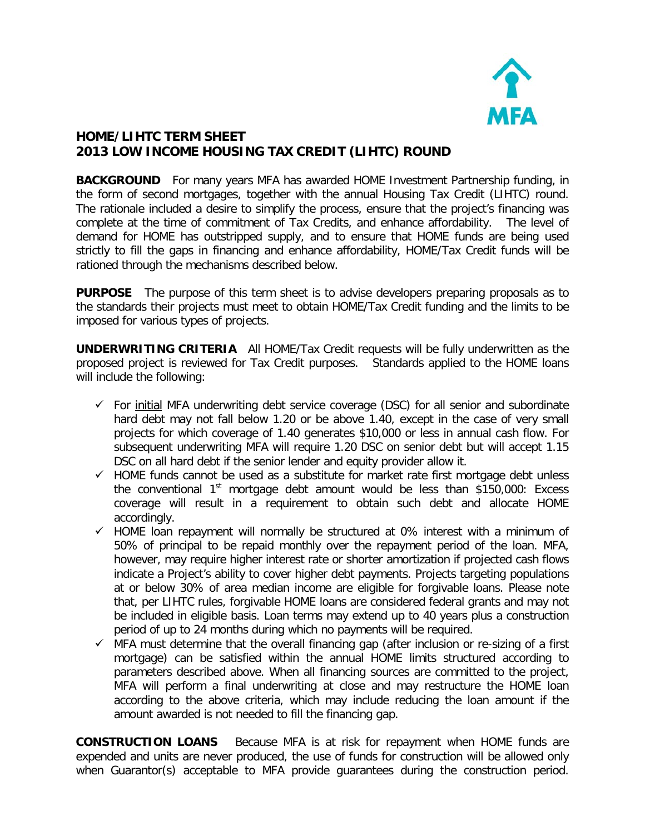

## **HOME/LIHTC TERM SHEET 2013 LOW INCOME HOUSING TAX CREDIT (LIHTC) ROUND**

**BACKGROUND** For many years MFA has awarded HOME Investment Partnership funding, in the form of second mortgages, together with the annual Housing Tax Credit (LIHTC) round. The rationale included a desire to simplify the process, ensure that the project's financing was complete at the time of commitment of Tax Credits, and enhance affordability. The level of demand for HOME has outstripped supply, and to ensure that HOME funds are being used strictly to fill the gaps in financing and enhance affordability, HOME/Tax Credit funds will be rationed through the mechanisms described below.

**PURPOSE** The purpose of this term sheet is to advise developers preparing proposals as to the standards their projects must meet to obtain HOME/Tax Credit funding and the limits to be imposed for various types of projects.

**UNDERWRITING CRITERIA** All HOME/Tax Credit requests will be fully underwritten as the proposed project is reviewed for Tax Credit purposes. Standards applied to the HOME loans will include the following:

- $\checkmark$  For initial MFA underwriting debt service coverage (DSC) for all senior and subordinate hard debt may not fall below 1.20 or be above 1.40, except in the case of very small projects for which coverage of 1.40 generates \$10,000 or less in annual cash flow. For subsequent underwriting MFA will require 1.20 DSC on senior debt but will accept 1.15 DSC on all hard debt if the senior lender and equity provider allow it.
- $\checkmark$  HOME funds cannot be used as a substitute for market rate first mortgage debt unless the conventional  $1<sup>st</sup>$  mortgage debt amount would be less than \$150,000: Excess coverage will result in a requirement to obtain such debt and allocate HOME accordingly.
- $\checkmark$  HOME loan repayment will normally be structured at 0% interest with a minimum of 50% of principal to be repaid monthly over the repayment period of the loan. MFA, however, may require higher interest rate or shorter amortization if projected cash flows indicate a Project's ability to cover higher debt payments. Projects targeting populations at or below 30% of area median income are eligible for forgivable loans. Please note that, per LIHTC rules, forgivable HOME loans are considered federal grants and may not be included in eligible basis. Loan terms may extend up to 40 years plus a construction period of up to 24 months during which no payments will be required.
- $\checkmark$  MFA must determine that the overall financing gap (after inclusion or re-sizing of a first mortgage) can be satisfied within the annual HOME limits structured according to parameters described above. When all financing sources are committed to the project, MFA will perform a final underwriting at close and may restructure the HOME loan according to the above criteria, which may include reducing the loan amount if the amount awarded is not needed to fill the financing gap.

**CONSTRUCTION LOANS** Because MFA is at risk for repayment when HOME funds are expended and units are never produced, the use of funds for construction will be allowed only when Guarantor(s) acceptable to MFA provide guarantees during the construction period.